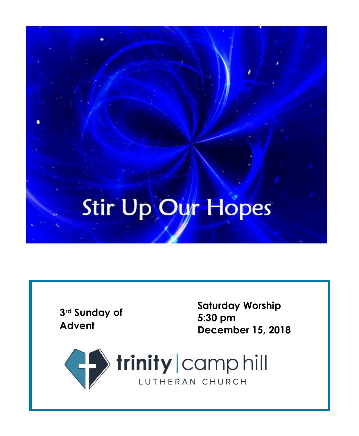## Stir Up Our Hopes

**3rd Sunday of Advent**

**Saturday Worship 5 : 30 p m December 15, 201 8**

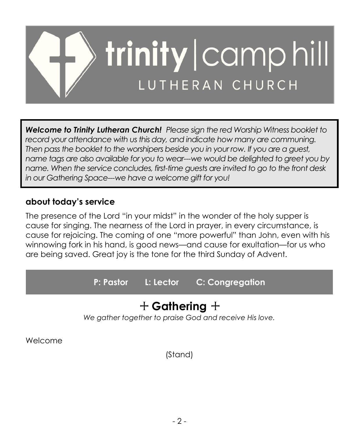

*Welcome to Trinity Lutheran Church! Please sign the red Worship Witness booklet to record your attendance with us this day, and indicate how many are communing. Then pass the booklet to the worshipers beside you in your row. If you are a guest, name tags are also available for you to wear---we would be delighted to greet you by name. When the service concludes, first-time guests are invited to go to the front desk in our Gathering Space---we have a welcome gift for you!*

## **about today's service**

The presence of the Lord "in your midst" in the wonder of the holy supper is cause for singing. The nearness of the Lord in prayer, in every circumstance, is cause for rejoicing. The coming of one "more powerful" than John, even with his winnowing fork in his hand, is good news—and cause for exultation—for us who are being saved. Great joy is the tone for the third Sunday of Advent.

**P: Pastor L: Lector C: Congregation**

## + **Gathering** +

*We gather together to praise God and receive His love.*

Welcome

(Stand)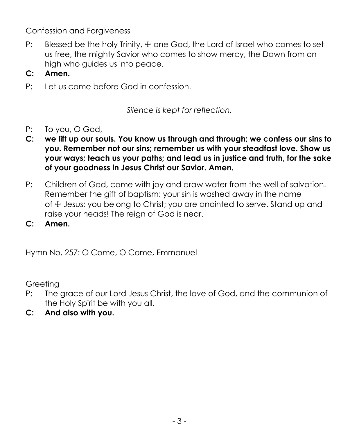Confession and Forgiveness

- P: Blessed be the holy Trinity,  $\pm$  one God, the Lord of Israel who comes to set us free, the mighty Savior who comes to show mercy, the Dawn from on high who guides us into peace.
- **C: Amen.**
- P: Let us come before God in confession.

*Silence is kept for reflection.*

- P: To you, O God,
- **C: we lift up our souls. You know us through and through; we confess our sins to you. Remember not our sins; remember us with your steadfast love. Show us your ways; teach us your paths; and lead us in justice and truth, for the sake of your goodness in Jesus Christ our Savior. Amen.**
- P: Children of God, come with joy and draw water from the well of salvation. Remember the gift of baptism: your sin is washed away in the name of  $\pm$  Jesus; you belong to Christ; you are anointed to serve. Stand up and raise your heads! The reign of God is near.

**C: Amen.**

Hymn No. 257: O Come, O Come, Emmanuel

Greeting

- P: The grace of our Lord Jesus Christ, the love of God, and the communion of the Holy Spirit be with you all.
- **C: And also with you.**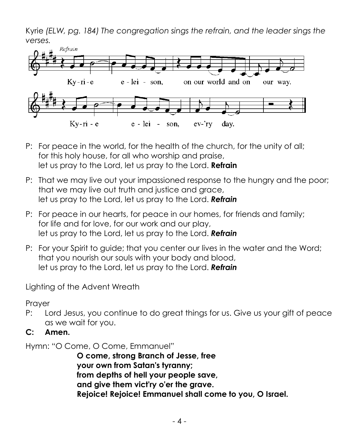Kyrie *(ELW, pg. 184) The congregation sings the refrain, and the leader sings the verses.*



- P: For peace in the world, for the health of the church, for the unity of all; for this holy house, for all who worship and praise, let us pray to the Lord, let us pray to the Lord. **Refrain**
- P: That we may live out your impassioned response to the hungry and the poor; that we may live out truth and justice and grace, let us pray to the Lord, let us pray to the Lord. *Refrain*
- P: For peace in our hearts, for peace in our homes, for friends and family; for life and for love, for our work and our play, let us pray to the Lord, let us pray to the Lord. *Refrain*
- P: For your Spirit to guide; that you center our lives in the water and the Word; that you nourish our souls with your body and blood, let us pray to the Lord, let us pray to the Lord. *Refrain*

Lighting of the Advent Wreath

Prayer

- P: Lord Jesus, you continue to do great things for us. Give us your gift of peace as we wait for you.
- **C: Amen.**

Hymn: "O Come, O Come, Emmanuel"

**O come, strong Branch of Jesse, free your own from Satan's tyranny; from depths of hell your people save, and give them vict'ry o'er the grave. Rejoice! Rejoice! Emmanuel shall come to you, O Israel.**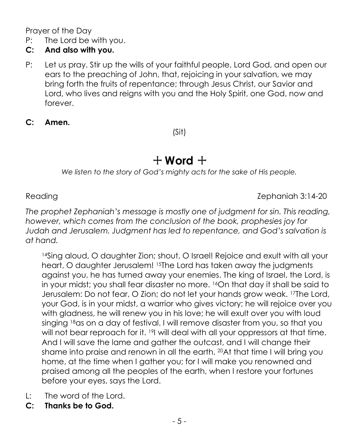Prayer of the Day

P: The Lord be with you.

## **C: And also with you.**

- P: Let us pray. Stir up the wills of your faithful people, Lord God, and open our ears to the preaching of John, that, rejoicing in your salvation, we may bring forth the fruits of repentance; through Jesus Christ, our Savior and Lord, who lives and reigns with you and the Holy Spirit, one God, now and forever.
- **C: Amen.**

(Sit)

## $+$  Word  $+$

*We listen to the story of God's mighty acts for the sake of His people.*

Reading Reading 2.14-20

*The prophet Zephaniah's message is mostly one of judgment for sin. This reading, however, which comes from the conclusion of the book, prophesies joy for Judah and Jerusalem. Judgment has led to repentance, and God's salvation is at hand.*

14Sing aloud, O daughter Zion; shout, O Israel! Rejoice and exult with all your heart, O daughter Jerusalem! <sup>15</sup>The Lord has taken away the judgments against you, he has turned away your enemies. The king of Israel, the Lord, is in your midst; you shall fear disaster no more. <sup>16</sup>On that day it shall be said to Jerusalem: Do not fear, O Zion; do not let your hands grow weak. <sup>17</sup>The Lord, your God, is in your midst, a warrior who gives victory; he will rejoice over you with gladness, he will renew you in his love; he will exult over you with loud singing 18as on a day of festival. I will remove disaster from you, so that you will not bear reproach for it. <sup>19</sup>I will deal with all your oppressors at that time. And I will save the lame and gather the outcast, and I will change their shame into praise and renown in all the earth. <sup>20</sup>At that time I will bring you home, at the time when I gather you; for I will make you renowned and praised among all the peoples of the earth, when I restore your fortunes before your eyes, says the Lord.

- L: The word of the Lord.
- **C: Thanks be to God.**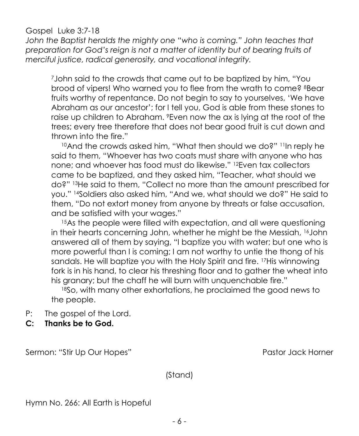## Gospel Luke 3:7-18

John the Baptist heralds the mighty one "who is coming." John teaches that *preparation for God's reign is not a matter of identity but of bearing fruits of merciful justice, radical generosity, and vocational integrity.*

<sup>7</sup>John said to the crowds that came out to be baptized by him, "You brood of vipers! Who warned you to flee from the wrath to come? <sup>8</sup>Bear fruits worthy of repentance. Do not begin to say to yourselves, 'We have Abraham as our ancestor'; for I tell you, God is able from these stones to raise up children to Abraham. <sup>9</sup>Even now the ax is lying at the root of the trees; every tree therefore that does not bear good fruit is cut down and thrown into the fire."

<sup>10</sup>And the crowds asked him, "What then should we do?" <sup>11</sup>In reply he said to them, "Whoever has two coats must share with anyone who has none; and whoever has food must do likewise." <sup>12</sup>Even tax collectors came to be baptized, and they asked him, "Teacher, what should we do?" <sup>13</sup>He said to them, "Collect no more than the amount prescribed for you." <sup>14</sup>Soldiers also asked him, "And we, what should we do?" He said to them, "Do not extort money from anyone by threats or false accusation, and be satisfied with your wages."

<sup>15</sup>As the people were filled with expectation, and all were questioning in their hearts concerning John, whether he might be the Messiah, <sup>16</sup>John answered all of them by saying, "I baptize you with water; but one who is more powerful than I is coming; I am not worthy to untie the thong of his sandals. He will baptize you with the Holy Spirit and fire. <sup>17</sup>His winnowing fork is in his hand, to clear his threshing floor and to gather the wheat into his granary; but the chaff he will burn with unquenchable fire."

<sup>18</sup>So, with many other exhortations, he proclaimed the good news to the people.

- P: The gospel of the Lord.
- **C: Thanks be to God.**

Sermon: "Stir Up Our Hopes" entitled and the Sermon: "Stir Up Our Hopes" and the Pastor Jack Horner

(Stand)

Hymn No. 266: All Earth is Hopeful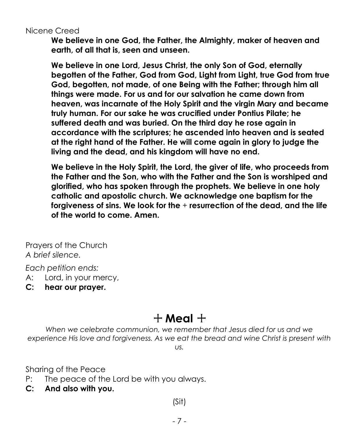## Nicene Creed

**We believe in one God, the Father, the Almighty, maker of heaven and earth, of all that is, seen and unseen.** 

**We believe in one Lord, Jesus Christ, the only Son of God, eternally begotten of the Father, God from God, Light from Light, true God from true God, begotten, not made, of one Being with the Father; through him all things were made. For us and for our salvation he came down from heaven, was incarnate of the Holy Spirit and the virgin Mary and became truly human. For our sake he was crucified under Pontius Pilate; he suffered death and was buried. On the third day he rose again in accordance with the scriptures; he ascended into heaven and is seated at the right hand of the Father. He will come again in glory to judge the living and the dead, and his kingdom will have no end.**

**We believe in the Holy Spirit, the Lord, the giver of life, who proceeds from the Father and the Son, who with the Father and the Son is worshiped and glorified, who has spoken through the prophets. We believe in one holy catholic and apostolic church. We acknowledge one baptism for the forgiveness of sins. We look for the** + **resurrection of the dead, and the life of the world to come. Amen.**

Prayers of the Church *A brief silence.*

*Each petition ends:*

- A: Lord, in your mercy,
- **C: hear our prayer.**

## $+$  Meal  $+$

*When we celebrate communion, we remember that Jesus died for us and we experience His love and forgiveness. As we eat the bread and wine Christ is present with us.*

Sharing of the Peace

- P: The peace of the Lord be with you always.
- **C: And also with you.**

(Sit)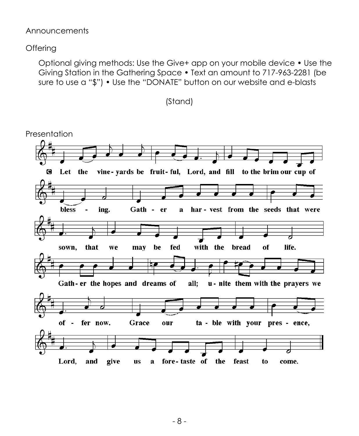#### Announcements

## **Offering**

Optional giving methods: Use the Give+ app on your mobile device • Use the Giving Station in the Gathering Space • Text an amount to 717-963-2281 (be sure to use a "\$") • Use the "DONATE" button on our website and e-blasts



(Stand)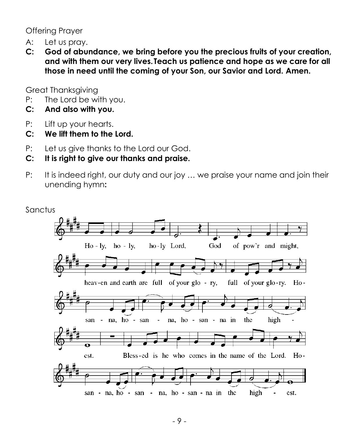Offering Prayer

- A: Let us pray.
- **C: God of abundance, we bring before you the precious fruits of your creation, and with them our very lives. Teach us patience and hope as we care for all those in need until the coming of your Son, our Savior and Lord. Amen.**

Great Thanksgiving

- P: The Lord be with you.
- **C: And also with you.**
- P: Lift up your hearts.
- **C: We lift them to the Lord.**
- P: Let us give thanks to the Lord our God.
- **C: It is right to give our thanks and praise.**
- P: It is indeed right, our duty and our joy ... we praise your name and join their unending hymn**:**

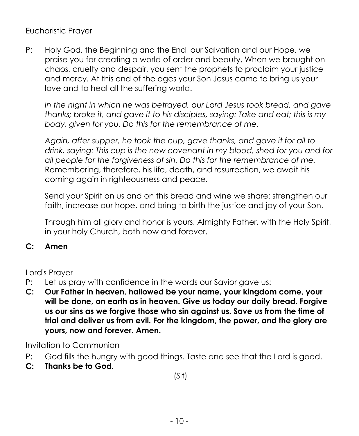Eucharistic Prayer

P: Holy God, the Beginning and the End, our Salvation and our Hope, we praise you for creating a world of order and beauty. When we brought on chaos, cruelty and despair, you sent the prophets to proclaim your justice and mercy. At this end of the ages your Son Jesus came to bring us your love and to heal all the suffering world.

*In the night in which he was betrayed, our Lord Jesus took bread, and gave thanks; broke it, and gave it to his disciples, saying: Take and eat; this is my body, given for you. Do this for the remembrance of me.*

*Again, after supper, he took the cup, gave thanks, and gave it for all to drink, saying: This cup is the new covenant in my blood, shed for you and for all people for the forgiveness of sin. Do this for the remembrance of me.* Remembering, therefore, his life, death, and resurrection, we await his coming again in righteousness and peace.

Send your Spirit on us and on this bread and wine we share: strengthen our faith, increase our hope, and bring to birth the justice and joy of your Son.

Through him all glory and honor is yours, Almighty Father, with the Holy Spirit, in your holy Church, both now and forever.

## **C: Amen**

Lord's Prayer

- P: Let us pray with confidence in the words our Savior gave us:
- **C: Our Father in heaven, hallowed be your name, your kingdom come, your will be done, on earth as in heaven. Give us today our daily bread. Forgive us our sins as we forgive those who sin against us. Save us from the time of trial and deliver us from evil. For the kingdom, the power, and the glory are yours, now and forever. Amen.**

Invitation to Communion

- P: God fills the hungry with good things. Taste and see that the Lord is good.
- **C: Thanks be to God.**

(Sit)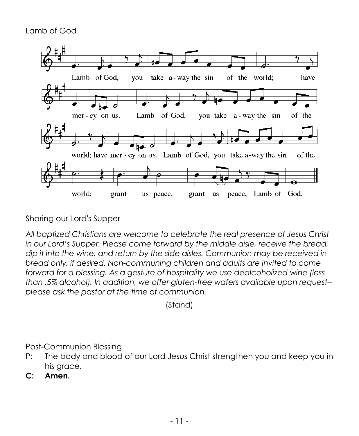## Lamb of God



Sharing our Lord's Supper

*All baptized Christians are welcome to celebrate the real presence of Jesus Christ in our Lord's Supper. Please come forward by the middle aisle, receive the bread, dip it into the wine, and return by the side aisles. Communion may be received in bread only, if desired. Non-communing children and adults are invited to come forward for a blessing. As a gesture of hospitality we use dealcoholized wine (less than .5% alcohol). In addition, we offer gluten-free wafers available upon request- please ask the pastor at the time of communion.*

(Stand)

Post-Communion Blessing

- P: The body and blood of our Lord Jesus Christ strengthen you and keep you in his grace.
- **C: Amen.**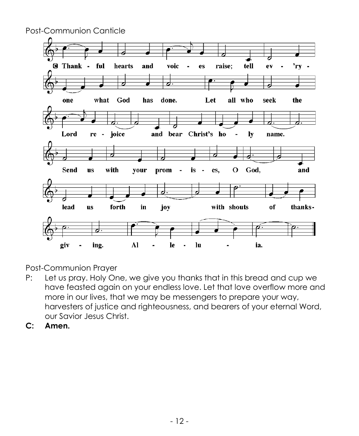

Post-Communion Prayer

- P: Let us pray. Holy One, we give you thanks that in this bread and cup we have feasted again on your endless love. Let that love overflow more and more in our lives, that we may be messengers to prepare your way, harvesters of justice and righteousness, and bearers of your eternal Word, our Savior Jesus Christ.
- **C: Amen.**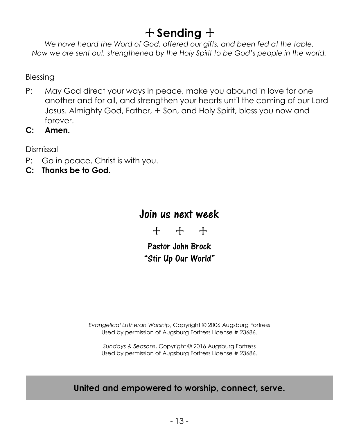## + **Sending** +

*We have heard the Word of God, offered our gifts, and been fed at the table. Now we are sent out, strengthened by the Holy Spirit to be God's people in the world.*

Blessing

- P: May God direct your ways in peace, make you abound in love for one another and for all, and strengthen your hearts until the coming of our Lord Jesus. Almighty God, Father, + Son, and Holy Spirit, bless you now and forever.
- **C: Amen.**

Dismissal

- P: Go in peace. Christ is with you.
- **C: Thanks be to God.**

## Join us next week

+ + +

Pastor John Brock "Stir Up Our World"

*Evangelical Lutheran Worship*, Copyright © 2006 Augsburg Fortress Used by permission of Augsburg Fortress License # 23686.

*Sundays & Seasons*, Copyright © 2016 Augsburg Fortress Used by permission of Augsburg Fortress License # 23686.

## **United and empowered to worship, connect, serve.**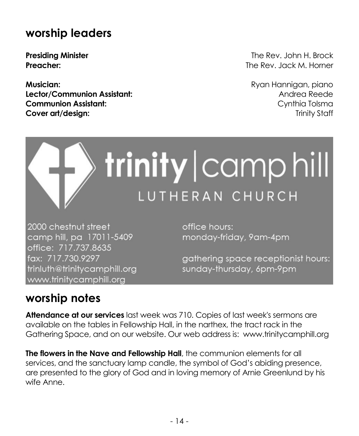## **worship leaders**

**Musician:** Ryan Hannigan, piano **Lector/Communion Assistant:** Andrea Reede **Communion Assistant:** Communion Assistant: **Cover art/design:** Trinity Staff

**Presiding Minister** The Rev. John H. Brock **Preacher:** The Rev. Jack M. Horner

# trinity | camp hill LUTHERAN CHURCH

2000 chestnut street camp hill, pa 17011-5409 office: 717.737.8635 fax: 717.730.9297 trinluth@trinitycamphill.org www.trinitycamphill.org

office hours: monday-friday, 9am-4pm

gathering space receptionist hours: sunday-thursday, 6pm-9pm

## **worship notes**

**Attendance at our services** last week was 710. Copies of last week's sermons are available on the tables in Fellowship Hall, in the narthex, the tract rack in the Gathering Space, and on our website. Our web address is: [www.trinitycamphill.org](http://www.trinitycamphill.org/)

**The flowers in the Nave and Fellowship Hall**, the communion elements for all services, and the sanctuary lamp candle, the symbol of God's abiding presence, are presented to the glory of God and in loving memory of Arnie Greenlund by his wife Anne.